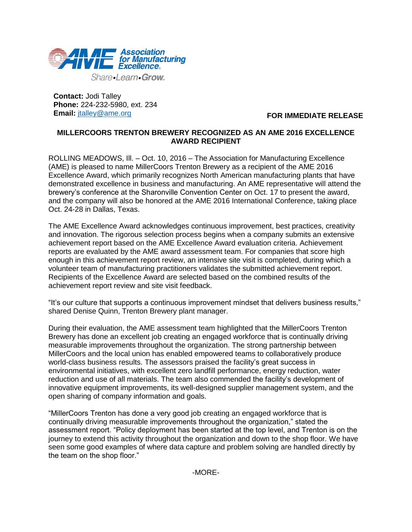

Share-Learn-Grow

**Contact:** Jodi Talley **Phone:** 224-232-5980, ext. 234 **Email:** [jtalley@ame.org](mailto:jtalley@ame.org)

 **FOR IMMEDIATE RELEASE**

## **MILLERCOORS TRENTON BREWERY RECOGNIZED AS AN AME 2016 EXCELLENCE AWARD RECIPIENT**

ROLLING MEADOWS, Ill. – Oct. 10, 2016 – The Association for Manufacturing Excellence (AME) is pleased to name MillerCoors Trenton Brewery as a recipient of the AME 2016 Excellence Award, which primarily recognizes North American manufacturing plants that have demonstrated excellence in business and manufacturing. An AME representative will attend the brewery's conference at the Sharonville Convention Center on Oct. 17 to present the award, and the company will also be honored at the AME 2016 International Conference, taking place Oct. 24-28 in Dallas, Texas.

The AME Excellence Award acknowledges continuous improvement, best practices, creativity and innovation. The rigorous selection process begins when a company submits an extensive achievement report based on the AME Excellence Award evaluation criteria. Achievement reports are evaluated by the AME award assessment team. For companies that score high enough in this achievement report review, an intensive site visit is completed, during which a volunteer team of manufacturing practitioners validates the submitted achievement report. Recipients of the Excellence Award are selected based on the combined results of the achievement report review and site visit feedback.

"It's our culture that supports a continuous improvement mindset that delivers business results," shared Denise Quinn, Trenton Brewery plant manager.

During their evaluation, the AME assessment team highlighted that the MillerCoors Trenton Brewery has done an excellent job creating an engaged workforce that is continually driving measurable improvements throughout the organization. The strong partnership between MillerCoors and the local union has enabled empowered teams to collaboratively produce world-class business results. The assessors praised the facility's great success in environmental initiatives, with excellent zero landfill performance, energy reduction, water reduction and use of all materials. The team also commended the facility's development of innovative equipment improvements, its well-designed supplier management system, and the open sharing of company information and goals.

"MillerCoors Trenton has done a very good job creating an engaged workforce that is continually driving measurable improvements throughout the organization," stated the assessment report. "Policy deployment has been started at the top level, and Trenton is on the journey to extend this activity throughout the organization and down to the shop floor. We have seen some good examples of where data capture and problem solving are handled directly by the team on the shop floor."